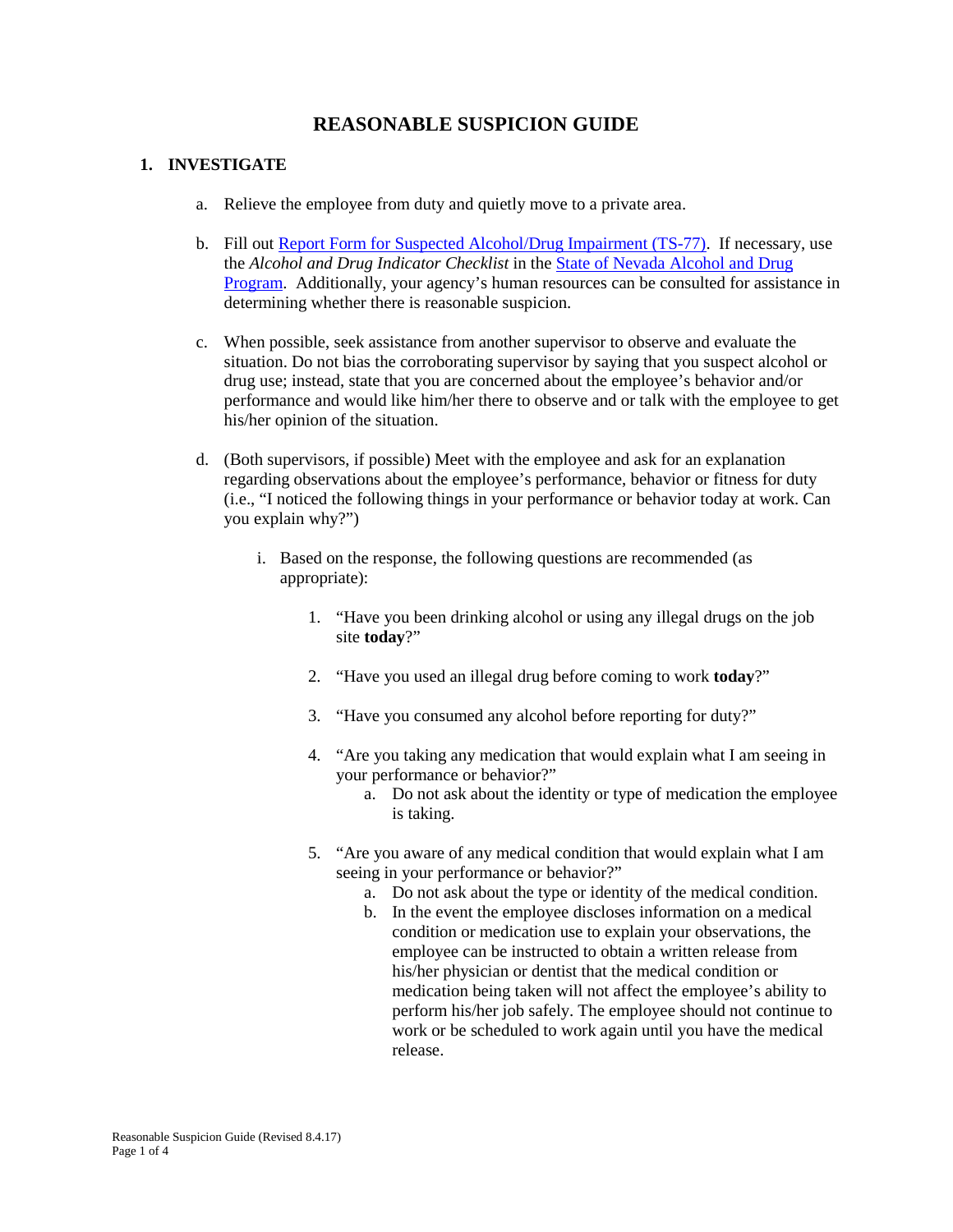# **REASONABLE SUSPICION GUIDE**

## **1. INVESTIGATE**

- a. Relieve the employee from duty and quietly move to a private area.
- b. Fill out [Report Form for Suspected Alcohol/Drug Impairment \(TS-77\).](http://hr.nv.gov/uploadedFiles/hrnvgov/Content/Resources/Forms/Alcohol/TS-77ReportFormSuspectedAlcoholDrugImparimtPDF.pdf) If necessary, use the *Alcohol and Drug Indicator Checklist* in the [State of Nevada Alcohol and Drug](http://hr.nv.gov/uploadedFiles/hrnvgov/Content/Resources/Publications/AlcoholandDrugProgram.pdf)  [Program.](http://hr.nv.gov/uploadedFiles/hrnvgov/Content/Resources/Publications/AlcoholandDrugProgram.pdf) Additionally, your agency's human resources can be consulted for assistance in determining whether there is reasonable suspicion.
- c. When possible, seek assistance from another supervisor to observe and evaluate the situation. Do not bias the corroborating supervisor by saying that you suspect alcohol or drug use; instead, state that you are concerned about the employee's behavior and/or performance and would like him/her there to observe and or talk with the employee to get his/her opinion of the situation.
- d. (Both supervisors, if possible) Meet with the employee and ask for an explanation regarding observations about the employee's performance, behavior or fitness for duty (i.e., "I noticed the following things in your performance or behavior today at work. Can you explain why?")
	- i. Based on the response, the following questions are recommended (as appropriate):
		- 1. "Have you been drinking alcohol or using any illegal drugs on the job site **today**?"
		- 2. "Have you used an illegal drug before coming to work **today**?"
		- 3. "Have you consumed any alcohol before reporting for duty?"
		- 4. "Are you taking any medication that would explain what I am seeing in your performance or behavior?"
			- a. Do not ask about the identity or type of medication the employee is taking.
		- 5. "Are you aware of any medical condition that would explain what I am seeing in your performance or behavior?"
			- a. Do not ask about the type or identity of the medical condition.
			- b. In the event the employee discloses information on a medical condition or medication use to explain your observations, the employee can be instructed to obtain a written release from his/her physician or dentist that the medical condition or medication being taken will not affect the employee's ability to perform his/her job safely. The employee should not continue to work or be scheduled to work again until you have the medical release.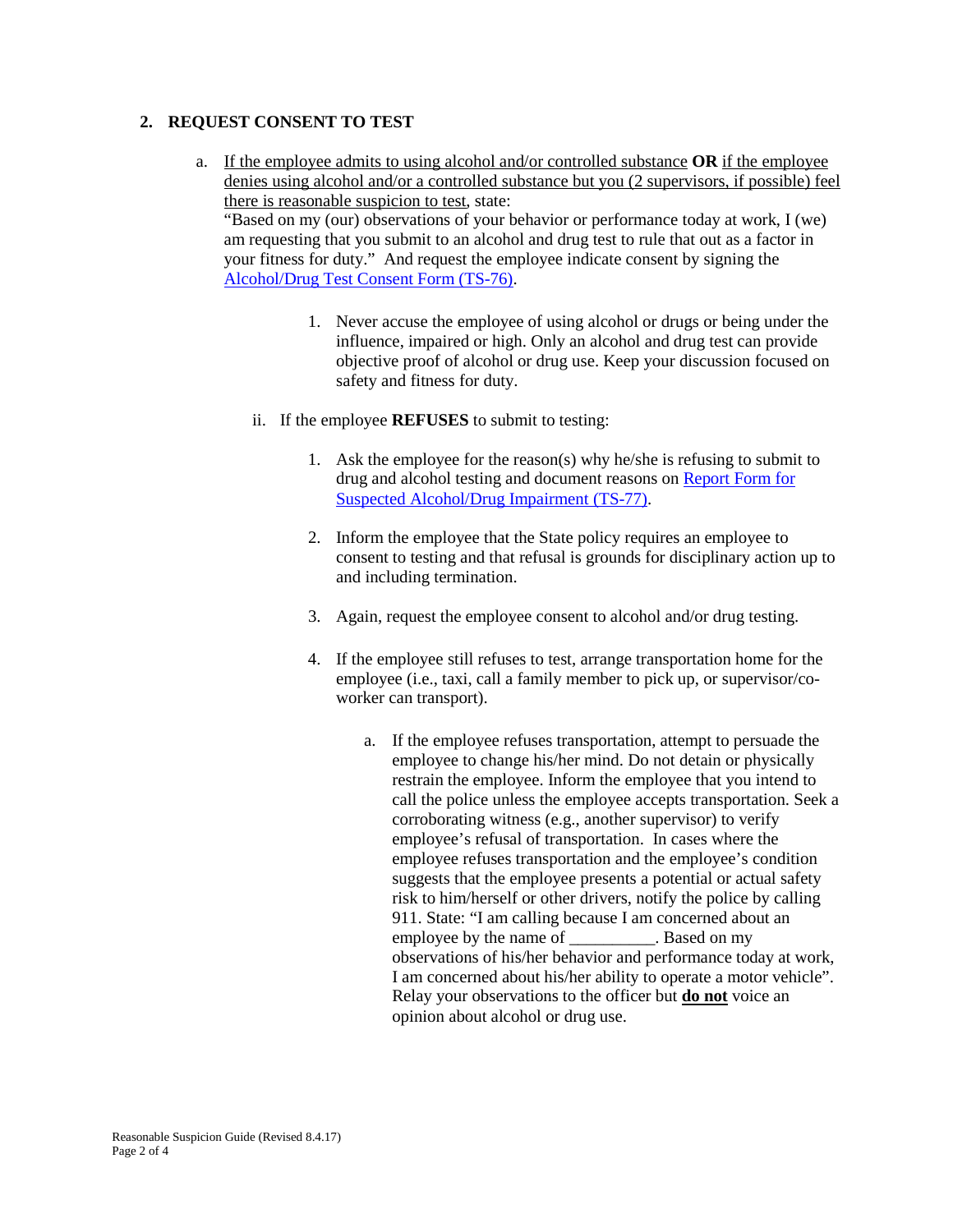## **2. REQUEST CONSENT TO TEST**

- a. If the employee admits to using alcohol and/or controlled substance **OR** if the employee denies using alcohol and/or a controlled substance but you (2 supervisors, if possible) feel there is reasonable suspicion to test, state: "Based on my (our) observations of your behavior or performance today at work, I (we) am requesting that you submit to an alcohol and drug test to rule that out as a factor in your fitness for duty." And request the employee indicate consent by signing the [Alcohol/Drug Test Consent Form \(TS-76\).](http://hr.nv.gov/uploadedFiles/hrnvgov/Content/Resources/Forms/Alcohol/TS-76AlcoholDrugConsentFormPDF.pdf)
	- 1. Never accuse the employee of using alcohol or drugs or being under the influence, impaired or high. Only an alcohol and drug test can provide objective proof of alcohol or drug use. Keep your discussion focused on safety and fitness for duty.
	- ii. If the employee **REFUSES** to submit to testing:
		- 1. Ask the employee for the reason(s) why he/she is refusing to submit to drug and alcohol testing and document reasons on [Report Form for](http://hr.nv.gov/uploadedFiles/hrnvgov/Content/Resources/Forms/Alcohol/TS-77ReportFormSuspectedAlcoholDrugImparimtPDF.pdf)  [Suspected Alcohol/Drug Impairment \(TS-77\).](http://hr.nv.gov/uploadedFiles/hrnvgov/Content/Resources/Forms/Alcohol/TS-77ReportFormSuspectedAlcoholDrugImparimtPDF.pdf)
		- 2. Inform the employee that the State policy requires an employee to consent to testing and that refusal is grounds for disciplinary action up to and including termination.
		- 3. Again, request the employee consent to alcohol and/or drug testing.
		- 4. If the employee still refuses to test, arrange transportation home for the employee (i.e., taxi, call a family member to pick up, or supervisor/coworker can transport).
			- a. If the employee refuses transportation, attempt to persuade the employee to change his/her mind. Do not detain or physically restrain the employee. Inform the employee that you intend to call the police unless the employee accepts transportation. Seek a corroborating witness (e.g., another supervisor) to verify employee's refusal of transportation. In cases where the employee refuses transportation and the employee's condition suggests that the employee presents a potential or actual safety risk to him/herself or other drivers, notify the police by calling 911. State: "I am calling because I am concerned about an employee by the name of the state on my observations of his/her behavior and performance today at work, I am concerned about his/her ability to operate a motor vehicle". Relay your observations to the officer but **do not** voice an opinion about alcohol or drug use.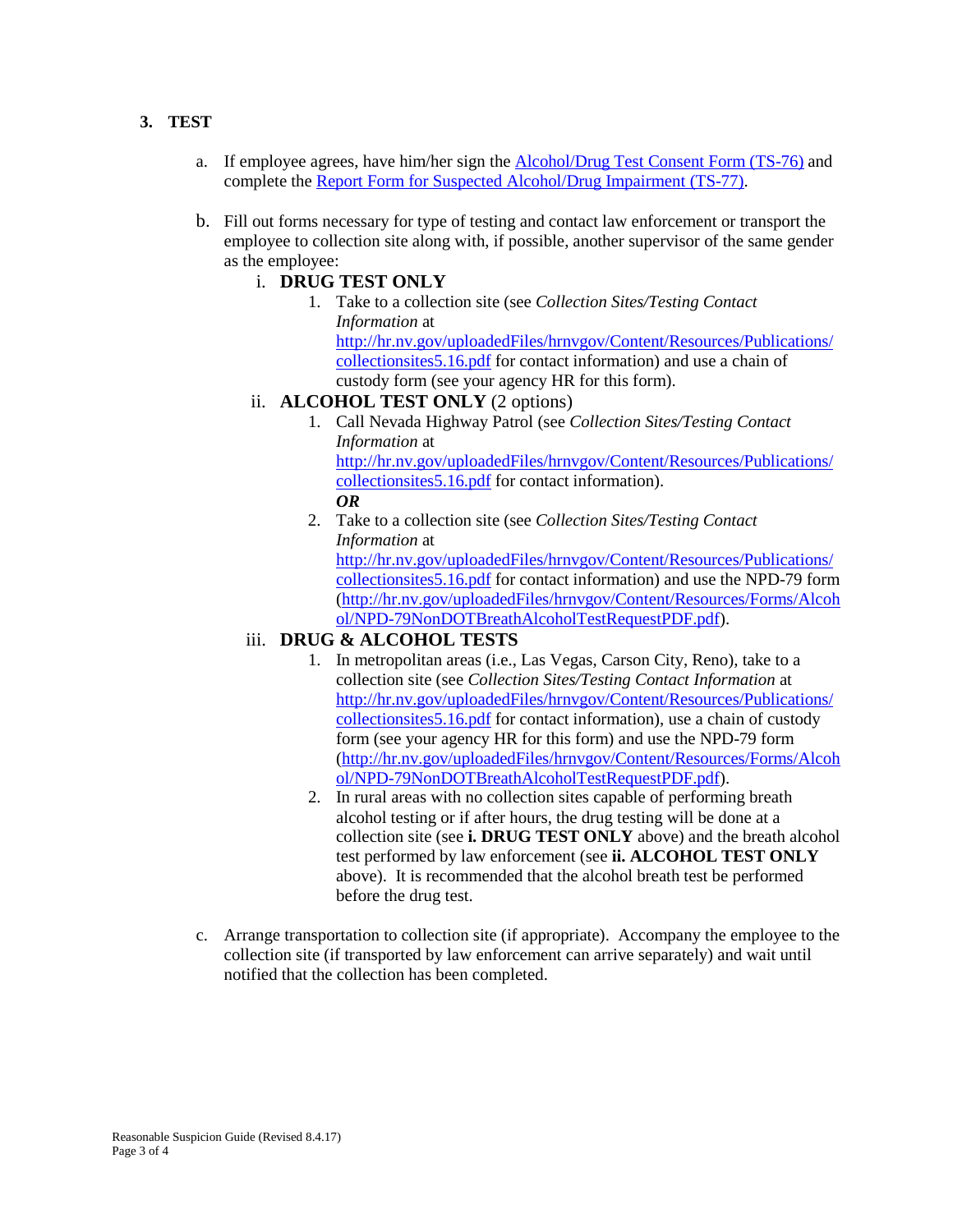# **3. TEST**

- a. If employee agrees, have him/her sign the [Alcohol/Drug Test Consent Form \(TS-76\)](http://hr.nv.gov/uploadedFiles/hrnvgov/Content/Resources/Forms/Alcohol/TS-76AlcoholDrugConsentFormPDF.pdf) and complete the [Report Form for Suspected Alcohol/Drug Impairment \(TS-77\).](http://hr.nv.gov/uploadedFiles/hrnvgov/Content/Resources/Forms/Alcohol/TS-77ReportFormSuspectedAlcoholDrugImparimtPDF.pdf)
- b. Fill out forms necessary for type of testing and contact law enforcement or transport the employee to collection site along with, if possible, another supervisor of the same gender as the employee:
	- i. **DRUG TEST ONLY**
		- 1. Take to a collection site (see *Collection Sites/Testing Contact Information* at [http://hr.nv.gov/uploadedFiles/hrnvgov/Content/Resources/Publications/](http://hr.nv.gov/uploadedFiles/hrnvgov/Content/Resources/Publications/collectionsites5.16.pdf) [collectionsites5.16.pdf](http://hr.nv.gov/uploadedFiles/hrnvgov/Content/Resources/Publications/collectionsites5.16.pdf) for contact information) and use a chain of custody form (see your agency HR for this form).
	- ii. **ALCOHOL TEST ONLY** (2 options)
		- 1. Call Nevada Highway Patrol (see *Collection Sites/Testing Contact Information* at [http://hr.nv.gov/uploadedFiles/hrnvgov/Content/Resources/Publications/](http://hr.nv.gov/uploadedFiles/hrnvgov/Content/Resources/Publications/collectionsites5.16.pdf) [collectionsites5.16.pdf](http://hr.nv.gov/uploadedFiles/hrnvgov/Content/Resources/Publications/collectionsites5.16.pdf) for contact information). *OR*
		- 2. Take to a collection site (see *Collection Sites/Testing Contact Information* at [http://hr.nv.gov/uploadedFiles/hrnvgov/Content/Resources/Publications/](http://hr.nv.gov/uploadedFiles/hrnvgov/Content/Resources/Publications/collectionsites5.16.pdf) [collectionsites5.16.pdf](http://hr.nv.gov/uploadedFiles/hrnvgov/Content/Resources/Publications/collectionsites5.16.pdf) for contact information) and use the NPD-79 form [\(http://hr.nv.gov/uploadedFiles/hrnvgov/Content/Resources/Forms/Alcoh](http://hr.nv.gov/uploadedFiles/hrnvgov/Content/Resources/Forms/Alcohol/NPD-79NonDOTBreathAlcoholTestRequestPDF.pdf) [ol/NPD-79NonDOTBreathAlcoholTestRequestPDF.pdf\)](http://hr.nv.gov/uploadedFiles/hrnvgov/Content/Resources/Forms/Alcohol/NPD-79NonDOTBreathAlcoholTestRequestPDF.pdf).

# iii. **DRUG & ALCOHOL TESTS**

- 1. In metropolitan areas (i.e., Las Vegas, Carson City, Reno), take to a collection site (see *Collection Sites/Testing Contact Information* at [http://hr.nv.gov/uploadedFiles/hrnvgov/Content/Resources/Publications/](http://hr.nv.gov/uploadedFiles/hrnvgov/Content/Resources/Publications/collectionsites5.16.pdf) [collectionsites5.16.pdf](http://hr.nv.gov/uploadedFiles/hrnvgov/Content/Resources/Publications/collectionsites5.16.pdf) for contact information), use a chain of custody form (see your agency HR for this form) and use the NPD-79 form [\(http://hr.nv.gov/uploadedFiles/hrnvgov/Content/Resources/Forms/Alcoh](http://hr.nv.gov/uploadedFiles/hrnvgov/Content/Resources/Forms/Alcohol/NPD-79NonDOTBreathAlcoholTestRequestPDF.pdf) [ol/NPD-79NonDOTBreathAlcoholTestRequestPDF.pdf\)](http://hr.nv.gov/uploadedFiles/hrnvgov/Content/Resources/Forms/Alcohol/NPD-79NonDOTBreathAlcoholTestRequestPDF.pdf).
- 2. In rural areas with no collection sites capable of performing breath alcohol testing or if after hours, the drug testing will be done at a collection site (see **i. DRUG TEST ONLY** above) and the breath alcohol test performed by law enforcement (see **ii. ALCOHOL TEST ONLY** above). It is recommended that the alcohol breath test be performed before the drug test.
- c. Arrange transportation to collection site (if appropriate). Accompany the employee to the collection site (if transported by law enforcement can arrive separately) and wait until notified that the collection has been completed.